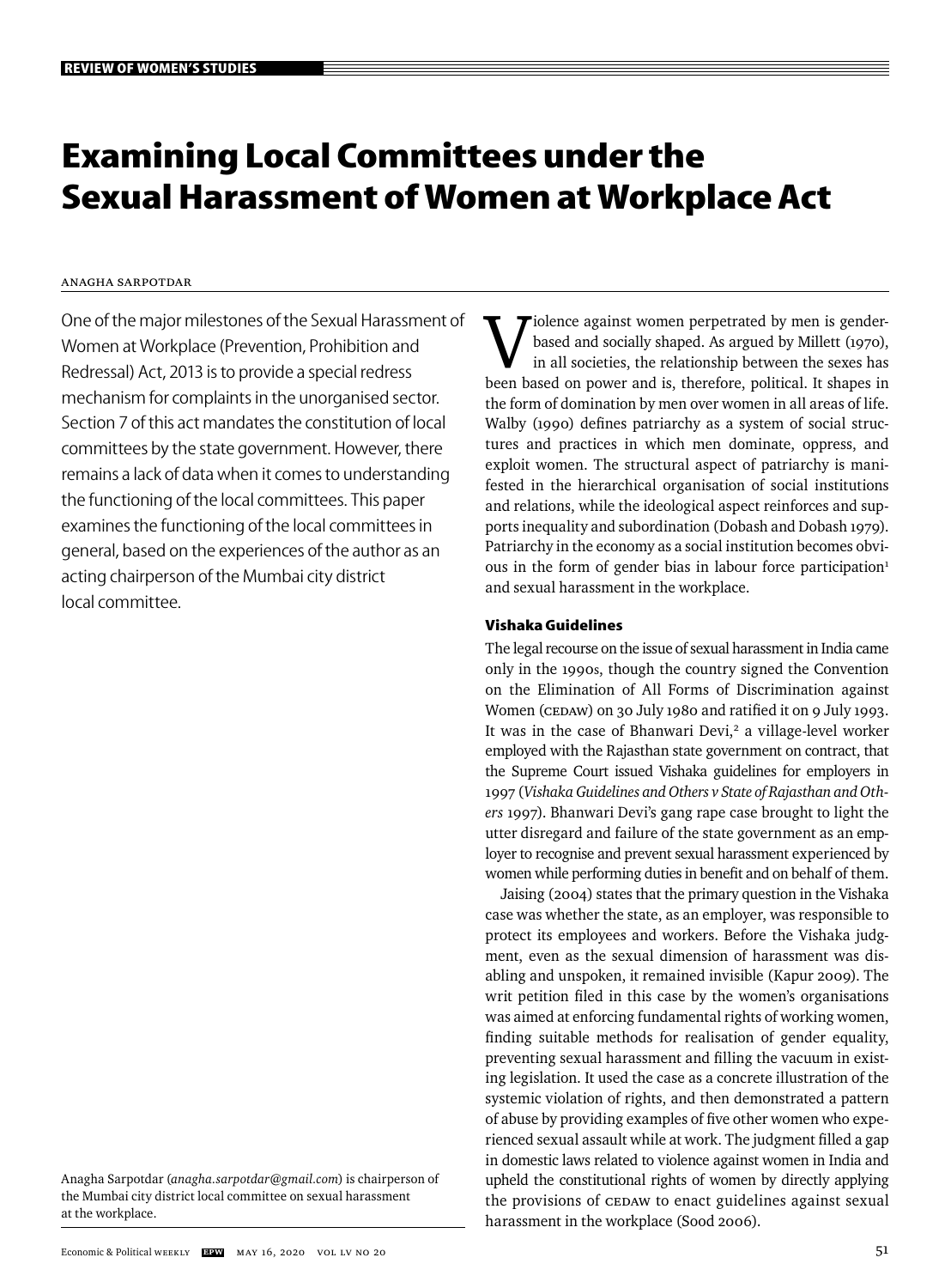# **Examining Local Committees under the Sexual Harassment of Women at Workplace Act**

# Anagha Sarpotdar

One of the major milestones of the Sexual Harassment of Women at Workplace (Prevention, Prohibition and Redressal) Act, 2013 is to provide a special redress mechanism for complaints in the unorganised sector. Section 7 of this act mandates the constitution of local committees by the state government. However, there remains a lack of data when it comes to understanding the functioning of the local committees. This paper examines the functioning of the local committees in general, based on the experiences of the author as an acting chairperson of the Mumbai city district local committee.

Anagha Sarpotdar (*anagha.sarpotdar@gmail.com*) is chairperson of the Mumbai city district local committee on sexual harassment at the workplace.

 $\tau$ iolence against women perpetrated by men is gender based and socially shaped. As argued by Millett (1970), in all societies, the relationship between the sexes has been based on power and is, therefore, political. It shapes in the form of domination by men over women in all areas of life. Walby (1990) defines patriarchy as a system of social structures and practices in which men dominate, oppress, and exploit women. The structural aspect of patriarchy is manifested in the hierarchical organisation of social institutions and relations, while the ideological aspect reinforces and supports inequality and subordination (Dobash and Dobash 1979). Patriarchy in the economy as a social institution becomes obvious in the form of gender bias in labour force participation<sup>1</sup> and sexual harassment in the workplace.

## **Vishaka Guidelines**

The legal recourse on the issue of sexual harassment in India came only in the 1990s, though the country signed the Convention on the Elimination of All Forms of Discrimination against Women (CEDAW) on 30 July 1980 and ratified it on 9 July 1993. It was in the case of Bhanwari Devi,<sup>2</sup> a village-level worker employed with the Rajasthan state government on contract, that the Supreme Court issued Vishaka guidelines for employers in 1997 (*Vishaka Guidelines and Others v State of Rajasthan and Others* 1997). Bhanwari Devi's gang rape case brought to light the utter disregard and failure of the state government as an employer to recognise and prevent sexual harassment experienced by women while performing duties in benefit and on behalf of them.

Jaising (2004) states that the primary question in the Vishaka case was whether the state, as an employer, was responsible to protect its employees and workers. Before the Vishaka judgment, even as the sexual dimension of harassment was disabling and unspoken, it remained invisible (Kapur 2009). The writ petition filed in this case by the women's organisations was aimed at enforcing fundamental rights of working women, finding suitable methods for realisation of gender equality, preventing sexual harassment and filling the vacuum in existing legislation. It used the case as a concrete illustration of the systemic violation of rights, and then demonstrated a pattern of abuse by providing examples of five other women who experienced sexual assault while at work. The judgment filled a gap in domestic laws related to violence against women in India and upheld the constitutional rights of women by directly applying the provisions of CEDAW to enact guidelines against sexual harassment in the workplace (Sood 2006).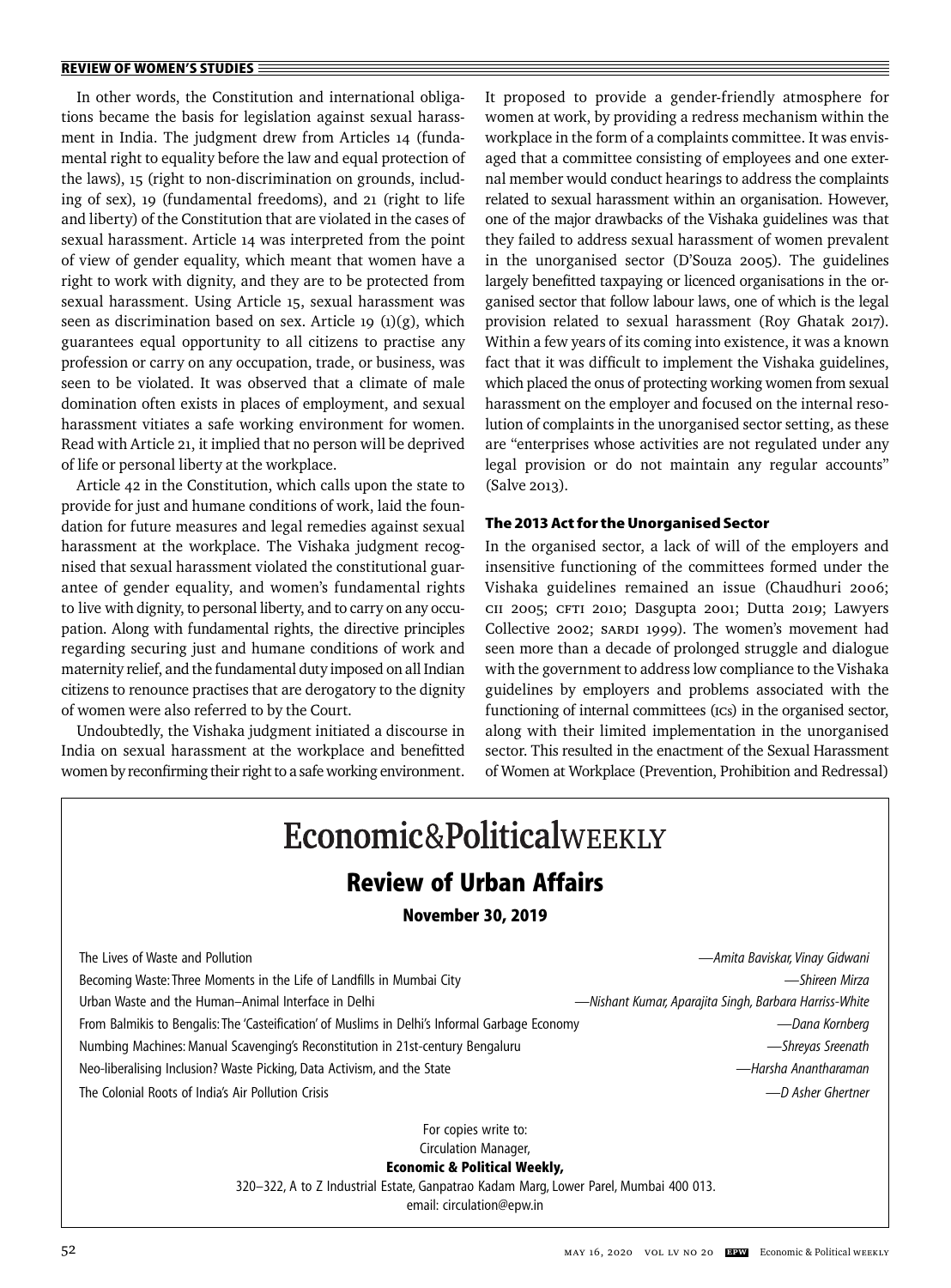In other words, the Constitution and international obligations became the basis for legislation against sexual harassment in India. The judgment drew from Articles 14 (fundamental right to equality before the law and equal protection of the laws), 15 (right to non-discrimination on grounds, including of sex), 19 (fundamental freedoms), and 21 (right to life and liberty) of the Constitution that are violated in the cases of sexual harassment. Article 14 was interpreted from the point of view of gender equality, which meant that women have a right to work with dignity, and they are to be protected from sexual harassment. Using Article 15, sexual harassment was seen as discrimination based on sex. Article 19  $(1)(g)$ , which guarantees equal opportunity to all citizens to practise any profession or carry on any occupation, trade, or business, was seen to be violated. It was observed that a climate of male domination often exists in places of employment, and sexual harassment vitiates a safe working environment for women. Read with Article 21, it implied that no person will be deprived of life or personal liberty at the workplace.

Article 42 in the Constitution, which calls upon the state to provide for just and humane conditions of work, laid the foundation for future measures and legal remedies against sexual harassment at the workplace. The Vishaka judgment recognised that sexual harassment violated the constitutional guarantee of gender equality, and women's fundamental rights to live with dignity, to personal liberty, and to carry on any occupation. Along with fundamental rights, the directive principles regarding securing just and humane conditions of work and maternity relief, and the fundamental duty imposed on all Indian citizens to renounce practises that are derogatory to the dignity of women were also referred to by the Court.

Undoubtedly, the Vishaka judgment initiated a discourse in India on sexual harassment at the workplace and benefitted women by reconfirming their right to a safe working environment. It proposed to provide a gender-friendly atmosphere for women at work, by providing a redress mechanism within the workplace in the form of a complaints committee. It was envisaged that a committee consisting of employees and one external member would conduct hearings to address the complaints related to sexual harassment within an organisation. However, one of the major drawbacks of the Vishaka guidelines was that they failed to address sexual harassment of women prevalent in the unorganised sector (D'Souza 2005). The guidelines largely benefitted taxpaying or licenced organisations in the organised sector that follow labour laws, one of which is the legal provision related to sexual harassment (Roy Ghatak 2017). Within a few years of its coming into existence, it was a known fact that it was difficult to implement the Vishaka guidelines, which placed the onus of protecting working women from sexual harassment on the employer and focused on the internal resolution of complaints in the unorganised sector setting, as these are "enterprises whose activities are not regulated under any legal provision or do not maintain any regular accounts" (Salve 2013).

## **The 2013 Act for the Unorganised Sector**

In the organised sector, a lack of will of the employers and insensitive functioning of the committees formed under the Vishaka guidelines remained an issue (Chaudhuri 2006; CII 2005; CFTI 2010; Dasgupta 2001; Dutta 2019; Lawyers Collective 2002; SARDI 1999). The women's movement had seen more than a decade of prolonged struggle and dialogue with the government to address low compliance to the Vishaka guidelines by employers and problems associated with the functioning of internal committees (ICs) in the organised sector, along with their limited implementation in the unorganised sector. This resulted in the enactment of the Sexual Harassment of Women at Workplace (Prevention, Prohibition and Redressal)

| Economic&PoliticalWEEKLY<br><b>Review of Urban Affairs</b><br><b>November 30, 2019</b>                                                                                                                                                                                                                                                                                                                                                                                                |                                                                                                                                                                                                   |
|---------------------------------------------------------------------------------------------------------------------------------------------------------------------------------------------------------------------------------------------------------------------------------------------------------------------------------------------------------------------------------------------------------------------------------------------------------------------------------------|---------------------------------------------------------------------------------------------------------------------------------------------------------------------------------------------------|
| The Lives of Waste and Pollution<br>Becoming Waste: Three Moments in the Life of Landfills in Mumbai City<br>Urban Waste and the Human-Animal Interface in Delhi<br>From Balmikis to Bengalis: The 'Casteification' of Muslims in Delhi's Informal Garbage Economy<br>Numbing Machines: Manual Scavenging's Reconstitution in 21st-century Bengaluru<br>Neo-liberalising Inclusion? Waste Picking, Data Activism, and the State<br>The Colonial Roots of India's Air Pollution Crisis | — Amita Baviskar, Vinay Gidwani<br>— Shireen Mirza<br>—Nishant Kumar, Aparajita Singh, Barbara Harriss-White<br>—Dana Kornberg<br>-Shreyas Sreenath<br>— Harsha Anantharaman<br>—D Asher Ghertner |
| For copies write to:<br>Circulation Manager,<br><b>Economic &amp; Political Weekly,</b><br>320–322, A to Z Industrial Estate, Ganpatrao Kadam Marg, Lower Parel, Mumbai 400 013.<br>email: circulation@epw.in                                                                                                                                                                                                                                                                         |                                                                                                                                                                                                   |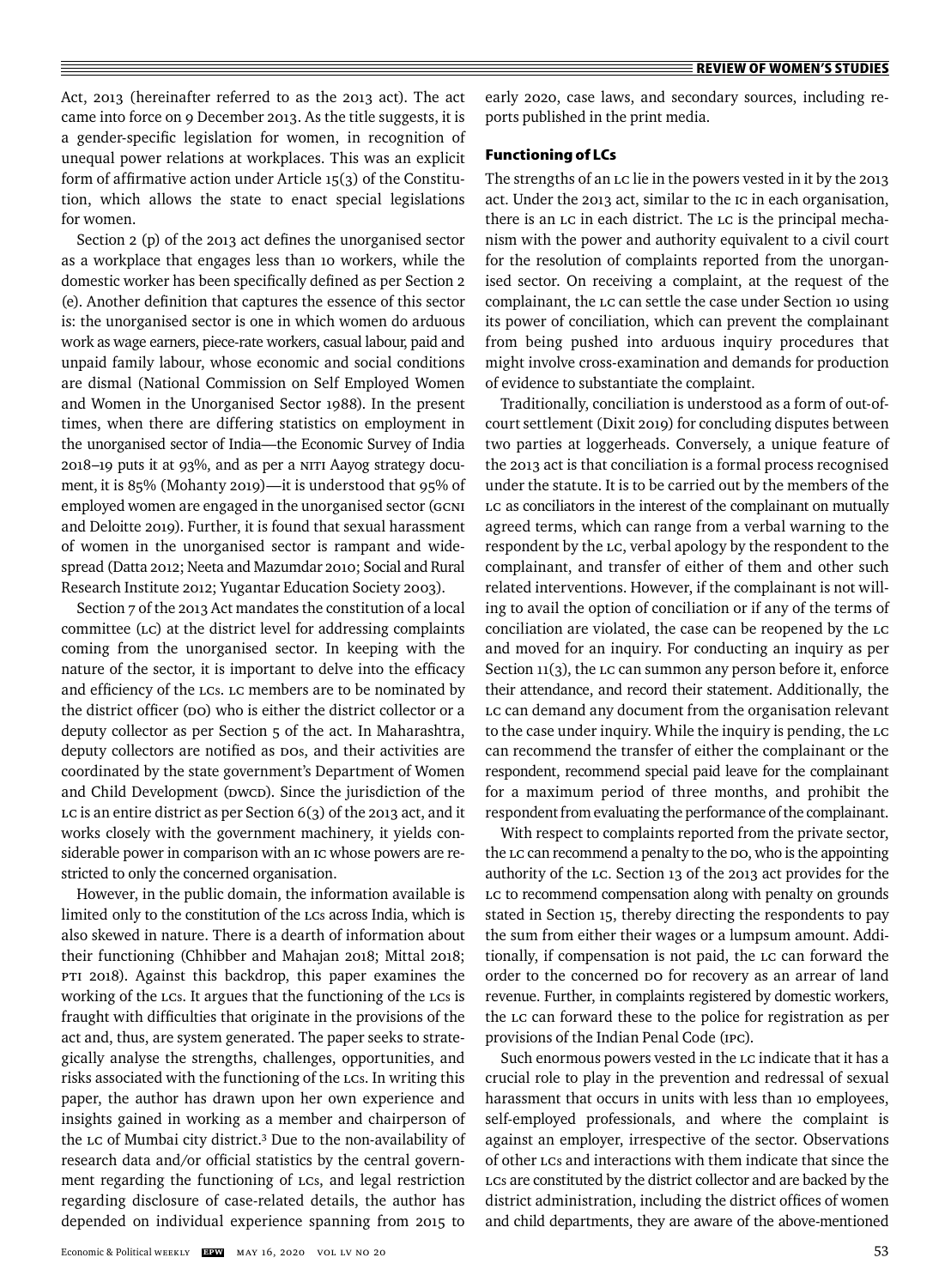Act, 2013 (hereinafter referred to as the 2013 act). The act came into force on 9 December 2013. As the title suggests, it is a gender-specific legislation for women, in recognition of unequal power relations at workplaces. This was an explicit form of affirmative action under Article  $15(3)$  of the Constitution, which allows the state to enact special legislations for women.

Section 2 (p) of the 2013 act defines the unorganised sector as a workplace that engages less than 10 workers, while the domestic worker has been specifically defined as per Section 2 (e). Another definition that captures the essence of this sector is: the unorganised sector is one in which women do arduous work as wage earners, piece-rate workers, casual labour, paid and unpaid family labour, whose economic and social conditions are dismal (National Commission on Self Employed Women and Women in the Unorganised Sector 1988). In the present times, when there are differing statistics on employment in the unorganised sector of India—the Economic Survey of India 2018–19 puts it at 93%, and as per a NITI Aayog strategy document, it is 85% (Mohanty 2019)—it is understood that 95% of employed women are engaged in the unorganised sector (GCNI and Deloitte 2019). Further, it is found that sexual harassment of women in the unorganised sector is rampant and widespread (Datta 2012; Neeta and Mazumdar 2010; Social and Rural Research Institute 2012; Yugantar Education Society 2003).

Section 7 of the 2013 Act mandates the constitution of a local committee (LC) at the district level for addressing complaints coming from the unorganised sector. In keeping with the nature of the sector, it is important to delve into the efficacy and efficiency of the LCs. LC members are to be nominated by the district officer (DO) who is either the district collector or a deputy collector as per Section 5 of the act. In Maharashtra, deputy collectors are notified as DOs, and their activities are coordinated by the state government's Department of Women and Child Development (DWCD). Since the jurisdiction of the LC is an entire district as per Section 6(3) of the 2013 act, and it works closely with the government machinery, it yields considerable power in comparison with an IC whose powers are restricted to only the concerned organisation.

However, in the public domain, the information available is limited only to the constitution of the LCs across India, which is also skewed in nature. There is a dearth of information about their functioning (Chhibber and Mahajan 2018; Mittal 2018; PTI 2018). Against this backdrop, this paper examines the working of the LCs. It argues that the functioning of the LCs is fraught with difficulties that originate in the provisions of the act and, thus, are system generated. The paper seeks to strategically analyse the strengths, challenges, opportunities, and risks associated with the functioning of the LCs. In writing this paper, the author has drawn upon her own experience and insights gained in working as a member and chairperson of the LC of Mumbai city district.3 Due to the non-availability of research data and/or official statistics by the central government regarding the functioning of LCs, and legal restriction regarding disclosure of case-related details, the author has depended on individual experience spanning from 2015 to

early 2020, case laws, and secondary sources, including reports published in the print media.

## **Functioning of LCs**

The strengths of an LC lie in the powers vested in it by the 2013 act. Under the 2013 act, similar to the IC in each organisation, there is an LC in each district. The LC is the principal mechanism with the power and authority equivalent to a civil court for the resolution of complaints reported from the unorganised sector. On receiving a complaint, at the request of the complainant, the LC can settle the case under Section 10 using its power of conciliation, which can prevent the complainant from being pushed into arduous inquiry procedures that might involve cross-examination and demands for production of evidence to substantiate the complaint.

Traditionally, conciliation is understood as a form of out-ofcourt settlement (Dixit 2019) for concluding disputes between two parties at loggerheads. Conversely, a unique feature of the 2013 act is that conciliation is a formal process recognised under the statute. It is to be carried out by the members of the LC as conciliators in the interest of the complainant on mutually agreed terms, which can range from a verbal warning to the respondent by the LC, verbal apology by the respondent to the complainant, and transfer of either of them and other such related interventions. However, if the complainant is not willing to avail the option of conciliation or if any of the terms of conciliation are violated, the case can be reopened by the LC and moved for an inquiry. For conducting an inquiry as per Section  $11(3)$ , the LC can summon any person before it, enforce their attendance, and record their statement. Additionally, the LC can demand any document from the organisation relevant to the case under inquiry. While the inquiry is pending, the LC can recommend the transfer of either the complainant or the respondent, recommend special paid leave for the complainant for a maximum period of three months, and prohibit the respondent from evaluating the performance of the complainant.

With respect to complaints reported from the private sector, the LC can recommend a penalty to the DO, who is the appointing authority of the LC. Section 13 of the 2013 act provides for the LC to recommend compensation along with penalty on grounds stated in Section 15, thereby directing the respondents to pay the sum from either their wages or a lumpsum amount. Additionally, if compensation is not paid, the LC can forward the order to the concerned DO for recovery as an arrear of land revenue. Further, in complaints registered by domestic workers, the LC can forward these to the police for registration as per provisions of the Indian Penal Code (IPC).

Such enormous powers vested in the LC indicate that it has a crucial role to play in the prevention and redressal of sexual harassment that occurs in units with less than 10 employees, self-employed professionals, and where the complaint is against an employer, irrespective of the sector. Observations of other LCs and interactions with them indicate that since the LCs are constituted by the district collector and are backed by the district administration, including the district offices of women and child departments, they are aware of the above-mentioned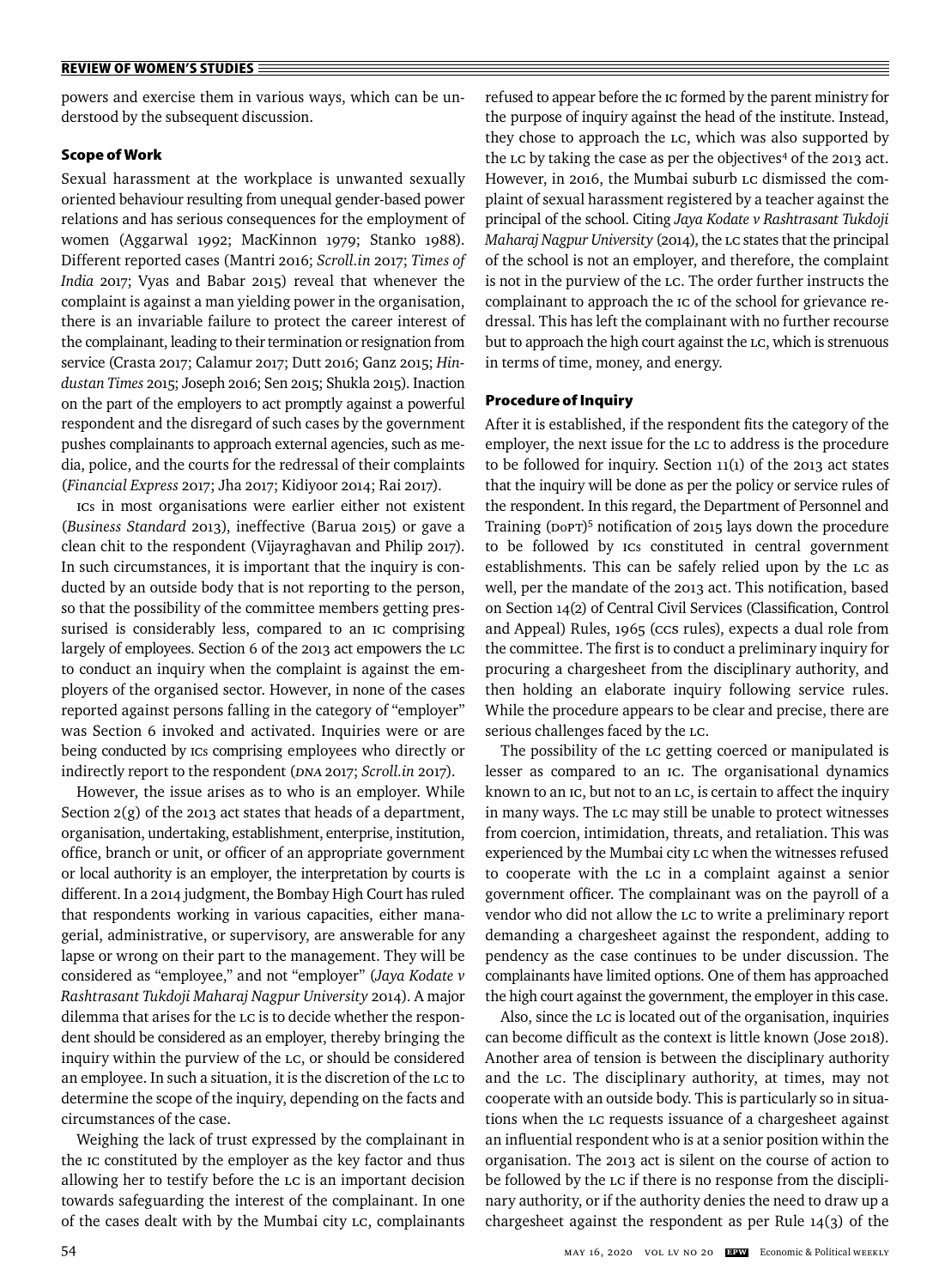powers and exercise them in various ways, which can be understood by the subsequent discussion.

## **Scope of Work**

Sexual harassment at the workplace is unwanted sexually oriented behaviour resulting from unequal gender-based power relations and has serious consequences for the employment of women(Aggarwal 1992; MacKinnon 1979; Stanko 1988). Different reported cases (Mantri 2016; *Scroll.in* 2017; *Times of India* 2017; Vyas and Babar 2015) reveal that whenever the complaint is against a man yielding power in the organisation, there is an invariable failure to protect the career interest of the complainant, leading to their termination or resignation from service (Crasta 2017; Calamur 2017; Dutt 2016; Ganz 2015; *Hindustan Times* 2015; Joseph 2016; Sen 2015; Shukla 2015). Inaction on the part of the employers to act promptly against a powerful respondent and the disregard of such cases by the government pushes complainants to approach external agencies, such as media, police, and the courts for the redressal of their complaints (*Financial Express* 2017; Jha 2017; Kidiyoor 2014; Rai 2017).

ICs in most organisations were earlier either not existent (*Business Standard* 2013), ineffective (Barua 2015) or gave a clean chit to the respondent (Vijayraghavan and Philip 2017). In such circumstances, it is important that the inquiry is conducted by an outside body that is not reporting to the person, so that the possibility of the committee members getting pressurised is considerably less, compared to an IC comprising largely of employees. Section 6 of the 2013 act empowers the LC to conduct an inquiry when the complaint is against the employers of the organised sector. However, in none of the cases reported against persons falling in the category of "employer" was Section 6 invoked and activated. Inquiries were or are being conducted by ICs comprising employees who directly or indirectly report to the respondent (DNA 2017; *Scroll.in* 2017).

However, the issue arises as to who is an employer. While Section 2(g) of the 2013 act states that heads of a department, organisation, undertaking, establishment, enterprise, institution, office, branch or unit, or officer of an appropriate government or local authority is an employer, the interpretation by courts is different. In a 2014 judgment, the Bombay High Court has ruled that respondents working in various capacities, either managerial, administrative, or supervisory, are answerable for any lapse or wrong on their part to the management. They will be considered as "employee," and not "employer" (*Jaya Kodate v Rashtrasant Tukdoji Maharaj Nagpur University* 2014). A major dilemma that arises for the LC is to decide whether the respondent should be considered as an employer, thereby bringing the inquiry within the purview of the LC, or should be considered an employee. In such a situation, it is the discretion of the LC to determine the scope of the inquiry, depending on the facts and circumstances of the case.

Weighing the lack of trust expressed by the complainant in the IC constituted by the employer as the key factor and thus allowing her to testify before the LC is an important decision towards safeguarding the interest of the complainant. In one of the cases dealt with by the Mumbai city LC, complainants refused to appear before the IC formed by the parent ministry for the purpose of inquiry against the head of the institute. Instead, they chose to approach the LC, which was also supported by the LC by taking the case as per the objectives<sup>4</sup> of the 2013 act. However, in 2016, the Mumbai suburb LC dismissed the complaint of sexual harassment registered by a teacher against the principal of the school. Citing *Jaya Kodate v Rashtrasant Tukdoji Maharaj Nagpur University* (2014), the LC states that the principal of the school is not an employer, and therefore, the complaint is not in the purview of the LC. The order further instructs the complainant to approach the IC of the school for grievance redressal. This has left the complainant with no further recourse but to approach the high court against the LC, which is strenuous in terms of time, money, and energy.

#### **Procedure of Inquiry**

After it is established, if the respondent fits the category of the employer, the next issue for the LC to address is the procedure to be followed for inquiry. Section 11(1) of the 2013 act states that the inquiry will be done as per the policy or service rules of the respondent. In this regard, the Department of Personnel and Training (DoPT)<sup>5</sup> notification of 2015 lays down the procedure to be followed by ICs constituted in central government establishments. This can be safely relied upon by the LC as well, per the mandate of the 2013 act. This notification, based on Section 14(2) of Central Civil Services (Classification, Control and Appeal) Rules, 1965 (CCS rules), expects a dual role from the committee. The first is to conduct a preliminary inquiry for procuring a chargesheet from the disciplinary authority, and then holding an elaborate inquiry following service rules. While the procedure appears to be clear and precise, there are serious challenges faced by the LC.

The possibility of the LC getting coerced or manipulated is lesser as compared to an IC. The organisational dynamics known to an IC, but not to an LC, is certain to affect the inquiry in many ways. The LC may still be unable to protect witnesses from coercion, intimidation, threats, and retaliation. This was experienced by the Mumbai city LC when the witnesses refused to cooperate with the LC in a complaint against a senior government officer. The complainant was on the payroll of a vendor who did not allow the LC to write a preliminary report demanding a chargesheet against the respondent, adding to pendency as the case continues to be under discussion. The complainants have limited options. One of them has approached the high court against the government, the employer in this case.

Also, since the LC is located out of the organisation, inquiries can become difficult as the context is little known (Jose 2018). Another area of tension is between the disciplinary authority and the LC. The disciplinary authority, at times, may not cooperate with an outside body. This is particularly so in situations when the LC requests issuance of a chargesheet against an influential respondent who is at a senior position within the organisation. The 2013 act is silent on the course of action to be followed by the LC if there is no response from the disciplinary authority, or if the authority denies the need to draw up a chargesheet against the respondent as per Rule 14(3) of the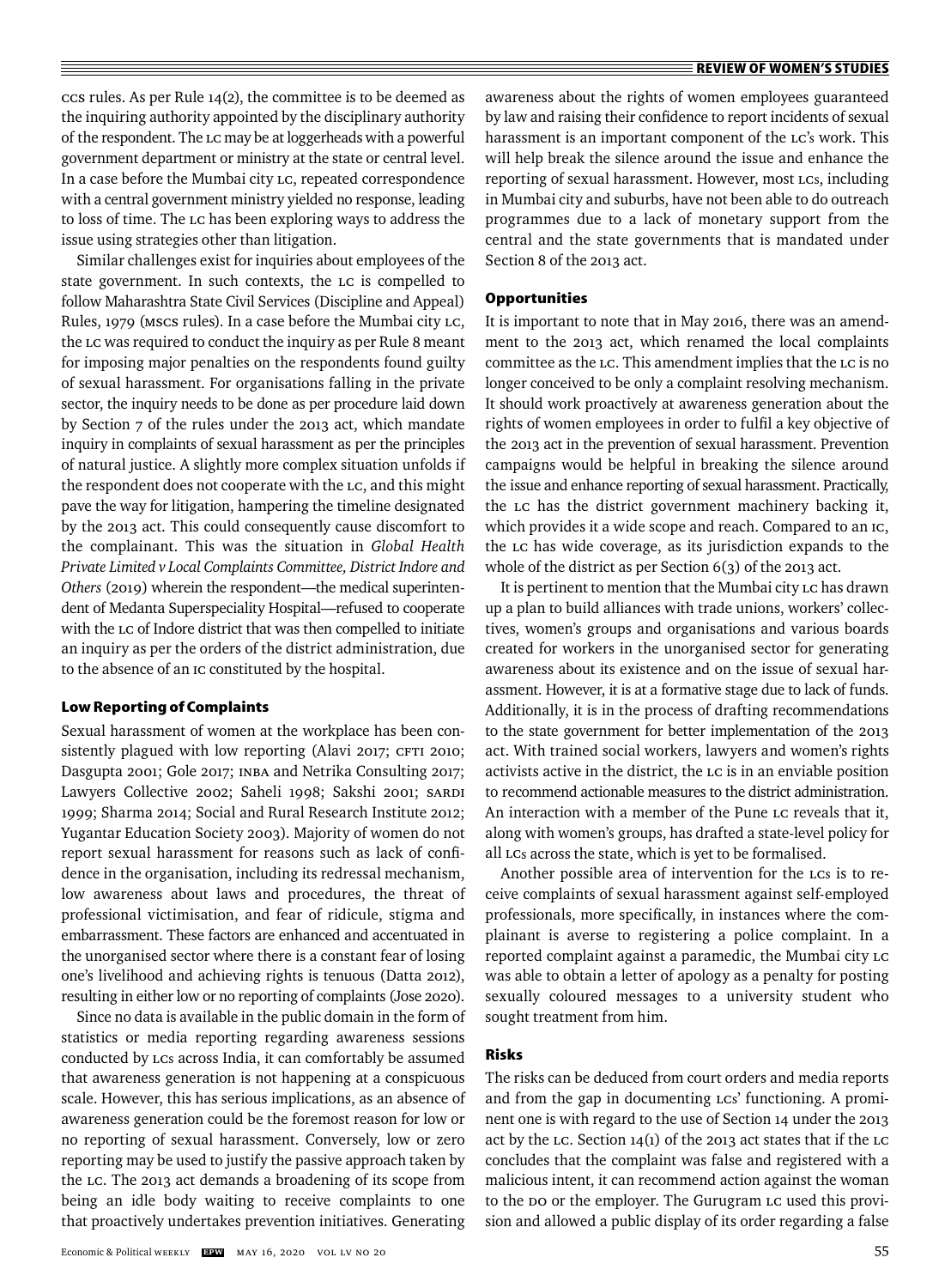$ccs$  rules. As per Rule 14(2), the committee is to be deemed as the inquiring authority appointed by the disciplinary authority of the respondent. The LC may be at loggerheads with a powerful government department or ministry at the state or central level. In a case before the Mumbai city LC, repeated correspondence with a central government ministry yielded no response, leading to loss of time. The LC has been exploring ways to address the issue using strategies other than litigation.

Similar challenges exist for inquiries about employees of the state government. In such contexts, the LC is compelled to follow Maharashtra State Civil Services (Discipline and Appeal) Rules, 1979 (MSCS rules). In a case before the Mumbai city LC, the LC was required to conduct the inquiry as per Rule 8 meant for imposing major penalties on the respondents found guilty of sexual harassment. For organisations falling in the private sector, the inquiry needs to be done as per procedure laid down by Section 7 of the rules under the 2013 act, which mandate inquiry in complaints of sexual harassment as per the principles of natural justice. A slightly more complex situation unfolds if the respondent does not cooperate with the LC, and this might pave the way for litigation, hampering the timeline designated by the 2013 act. This could consequently cause discomfort to the complainant. This was the situation in *Global Health Private Limited v Local Complaints Committee, District Indore and Others* (2019) wherein the respondent—the medical superintendent of Medanta Superspeciality Hospital—refused to cooperate with the LC of Indore district that was then compelled to initiate an inquiry as per the orders of the district administration, due to the absence of an IC constituted by the hospital.

### **Low Reporting of Complaints**

Sexual harassment of women at the workplace has been consistently plagued with low reporting (Alavi 2017; CFTI 2010; Dasgupta 2001; Gole 2017; INBA and Netrika Consulting 2017; Lawyers Collective 2002; Saheli 1998; Sakshi 2001; SARDI 1999; Sharma 2014; Social and Rural Research Institute 2012; Yugantar Education Society 2003). Majority of women do not report sexual harassment for reasons such as lack of confidence in the organisation, including its redressal mechanism, low awareness about laws and procedures, the threat of professional victimisation, and fear of ridicule, stigma and embarrassment. These factors are enhanced and accentuated in the unorganised sector where there is a constant fear of losing one's livelihood and achieving rights is tenuous (Datta 2012), resulting in either low or no reporting of complaints (Jose 2020).

Since no data is available in the public domain in the form of statistics or media reporting regarding awareness sessions conducted by LCs across India, it can comfortably be assumed that awareness generation is not happening at a conspicuous scale. However, this has serious implications, as an absence of awareness generation could be the foremost reason for low or no reporting of sexual harassment. Conversely, low or zero reporting may be used to justify the passive approach taken by the LC. The 2013 act demands a broadening of its scope from being an idle body waiting to receive complaints to one that proactively undertakes prevention initiatives. Generating

awareness about the rights of women employees guaranteed by law and raising their confidence to report incidents of sexual harassment is an important component of the LC's work. This will help break the silence around the issue and enhance the reporting of sexual harassment. However, most Lcs, including in Mumbai city and suburbs, have not been able to do outreach programmes due to a lack of monetary support from the central and the state governments that is mandated under Section 8 of the 2013 act.

#### **Opportunities**

It is important to note that in May 2016, there was an amendment to the 2013 act, which renamed the local complaints committee as the LC. This amendment implies that the LC is no longer conceived to be only a complaint resolving mechanism. It should work proactively at awareness generation about the rights of women employees in order to fulfil a key objective of the 2013 act in the prevention of sexual harassment. Prevention campaigns would be helpful in breaking the silence around the issue and enhance reporting of sexual harassment. Practically, the LC has the district government machinery backing it, which provides it a wide scope and reach. Compared to an IC, the LC has wide coverage, as its jurisdiction expands to the whole of the district as per Section 6(3) of the 2013 act.

It is pertinent to mention that the Mumbai city LC has drawn up a plan to build alliances with trade unions, workers' collectives, women's groups and organisations and various boards created for workers in the unorganised sector for generating awareness about its existence and on the issue of sexual harassment. However, it is at a formative stage due to lack of funds. Additionally, it is in the process of drafting recommendations to the state government for better implementation of the 2013 act. With trained social workers, lawyers and women's rights activists active in the district, the LC is in an enviable position to recommend actionable measures to the district administration. An interaction with a member of the Pune LC reveals that it, along with women's groups, has drafted a state-level policy for all LCs across the state, which is yet to be formalised.

Another possible area of intervention for the LCs is to receive complaints of sexual harassment against self-employed professionals, more specifically, in instances where the complainant is averse to registering a police complaint. In a reported complaint against a paramedic, the Mumbai city LC was able to obtain a letter of apology as a penalty for posting sexually coloured messages to a university student who sought treatment from him.

## **Risks**

The risks can be deduced from court orders and media reports and from the gap in documenting LCs' functioning. A prominent one is with regard to the use of Section 14 under the 2013 act by the LC. Section  $14(1)$  of the 2013 act states that if the LC concludes that the complaint was false and registered with a malicious intent, it can recommend action against the woman to the DO or the employer. The Gurugram LC used this provision and allowed a public display of its order regarding a false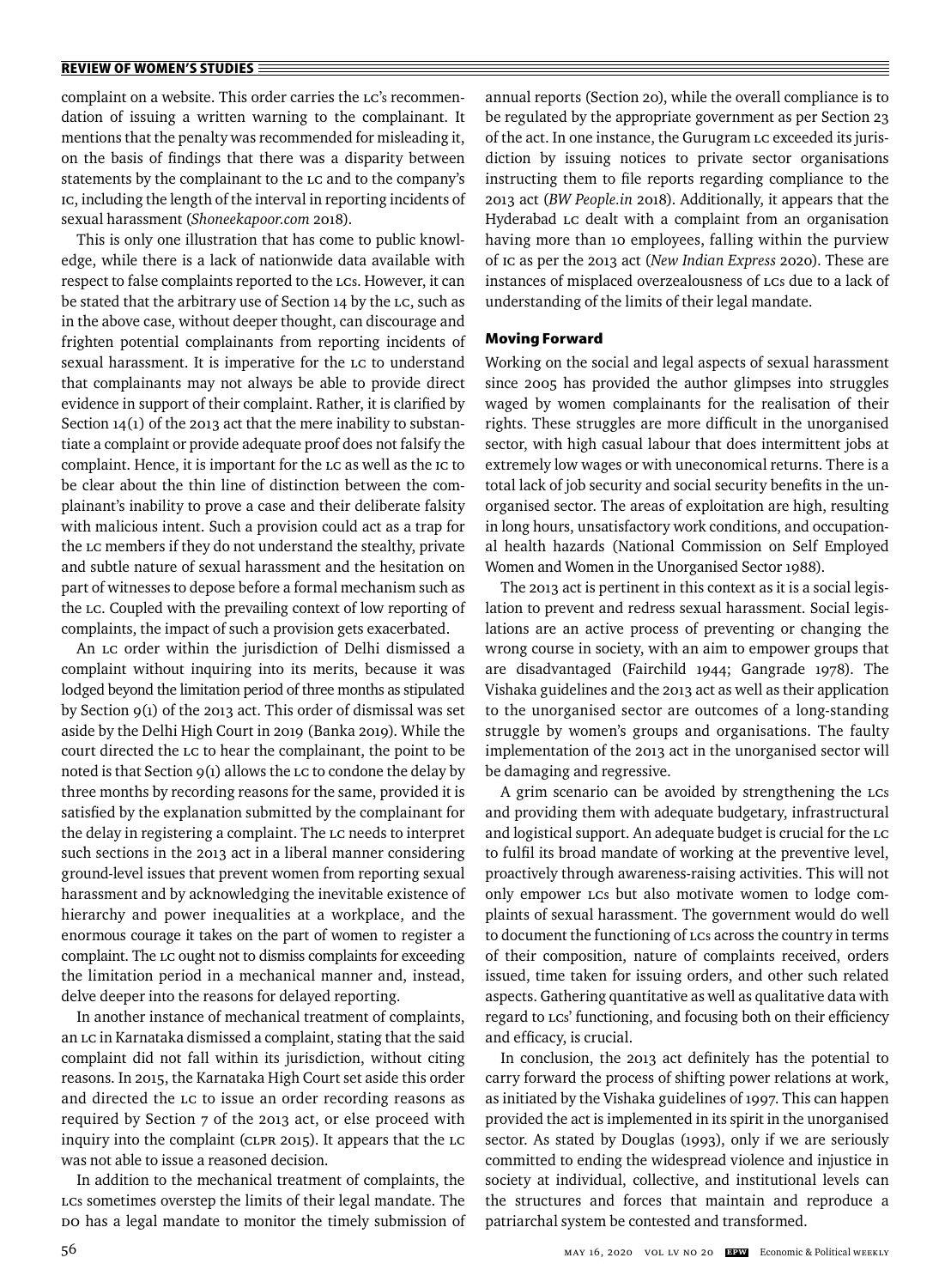complaint on a website. This order carries the LC's recommendation of issuing a written warning to the complainant. It mentions that the penalty was recommended for misleading it, on the basis of findings that there was a disparity between statements by the complainant to the LC and to the company's IC, including the length of the interval in reporting incidents of sexual harassment (*Shoneekapoor.com* 2018).

This is only one illustration that has come to public knowledge, while there is a lack of nationwide data available with respect to false complaints reported to the LCs. However, it can be stated that the arbitrary use of Section 14 by the LC, such as in the above case, without deeper thought, can discourage and frighten potential complainants from reporting incidents of sexual harassment. It is imperative for the LC to understand that complainants may not always be able to provide direct evidence in support of their complaint. Rather, it is clarified by Section  $14(1)$  of the 2013 act that the mere inability to substantiate a complaint or provide adequate proof does not falsify the complaint. Hence, it is important for the LC as well as the IC to be clear about the thin line of distinction between the complainant's inability to prove a case and their deliberate falsity with malicious intent. Such a provision could act as a trap for the LC members if they do not understand the stealthy, private and subtle nature of sexual harassment and the hesitation on part of witnesses to depose before a formal mechanism such as the LC. Coupled with the prevailing context of low reporting of complaints, the impact of such a provision gets exacerbated.

An LC order within the jurisdiction of Delhi dismissed a complaint without inquiring into its merits, because it was lodged beyond the limitation period of three months as stipulated by Section 9(1) of the 2013 act. This order of dismissal was set aside by the Delhi High Court in 2019 (Banka 2019). While the court directed the LC to hear the complainant, the point to be noted is that Section  $9(1)$  allows the LC to condone the delay by three months by recording reasons for the same, provided it is satisfied by the explanation submitted by the complainant for the delay in registering a complaint. The LC needs to interpret such sections in the 2013 act in a liberal manner considering ground-level issues that prevent women from reporting sexual harassment and by acknowledging the inevitable existence of hierarchy and power inequalities at a workplace, and the enormous courage it takes on the part of women to register a complaint. The LC ought not to dismiss complaints for exceeding the limitation period in a mechanical manner and, instead, delve deeper into the reasons for delayed reporting.

In another instance of mechanical treatment of complaints, an LC in Karnataka dismissed a complaint, stating that the said complaint did not fall within its jurisdiction, without citing reasons. In 2015, the Karnataka High Court set aside this order and directed the LC to issue an order recording reasons as required by Section 7 of the 2013 act, or else proceed with inquiry into the complaint (CLPR 2015). It appears that the LC was not able to issue a reasoned decision.

In addition to the mechanical treatment of complaints, the LCs sometimes overstep the limits of their legal mandate. The DO has a legal mandate to monitor the timely submission of annual reports (Section 20), while the overall compliance is to be regulated by the appropriate government as per Section 23 of the act. In one instance, the Gurugram LC exceeded its jurisdiction by issuing notices to private sector organisations instructing them to file reports regarding compliance to the 2013 act (*BW People.in* 2018). Additionally, it appears that the Hyderabad LC dealt with a complaint from an organisation having more than 10 employees, falling within the purview of IC as per the 2013 act ( *New Indian Express* 2020). These are instances of misplaced overzealousness of LCs due to a lack of understanding of the limits of their legal mandate.

## **Moving Forward**

Working on the social and legal aspects of sexual harassment since 2005 has provided the author glimpses into struggles waged by women complainants for the realisation of their rights. These struggles are more difficult in the unorganised sector, with high casual labour that does intermittent jobs at extremely low wages or with uneconomical returns. There is a total lack of job security and social security benefits in the unorganised sector. The areas of exploitation are high, resulting in long hours, unsatisfactory work conditions, and occupational health hazards (National Commission on Self Employed Women and Women in the Unorganised Sector 1988).

The 2013 act is pertinent in this context as it is a social legislation to prevent and redress sexual harassment. Social legislations are an active process of preventing or changing the wrong course in society, with an aim to empower groups that are disadvantaged (Fairchild 1944; Gangrade 1978). The Vishaka guidelines and the 2013 act as well as their application to the unorganised sector are outcomes of a long-standing struggle by women's groups and organisations. The faulty implementation of the 2013 act in the unorganised sector will be damaging and regressive.

A grim scenario can be avoided by strengthening the LCs and providing them with adequate budgetary, infrastructural and logistical support. An adequate budget is crucial for the LC to fulfil its broad mandate of working at the preventive level, proactively through awareness-raising activities. This will not only empower LCs but also motivate women to lodge complaints of sexual harassment. The government would do well to document the functioning of LCs across the country in terms of their composition, nature of complaints received, orders issued, time taken for issuing orders, and other such related aspects. Gathering quantitative as well as qualitative data with regard to Lcs' functioning, and focusing both on their efficiency and efficacy, is crucial.

In conclusion, the 2013 act definitely has the potential to carry forward the process of shifting power relations at work, as initiated by the Vishaka guidelines of 1997. This can happen provided the act is implemented in its spirit in the unorganised sector. As stated by Douglas (1993), only if we are seriously committed to ending the widespread violence and injustice in society at individual, collective, and institutional levels can the structures and forces that maintain and reproduce a patriarchal system be contested and transformed.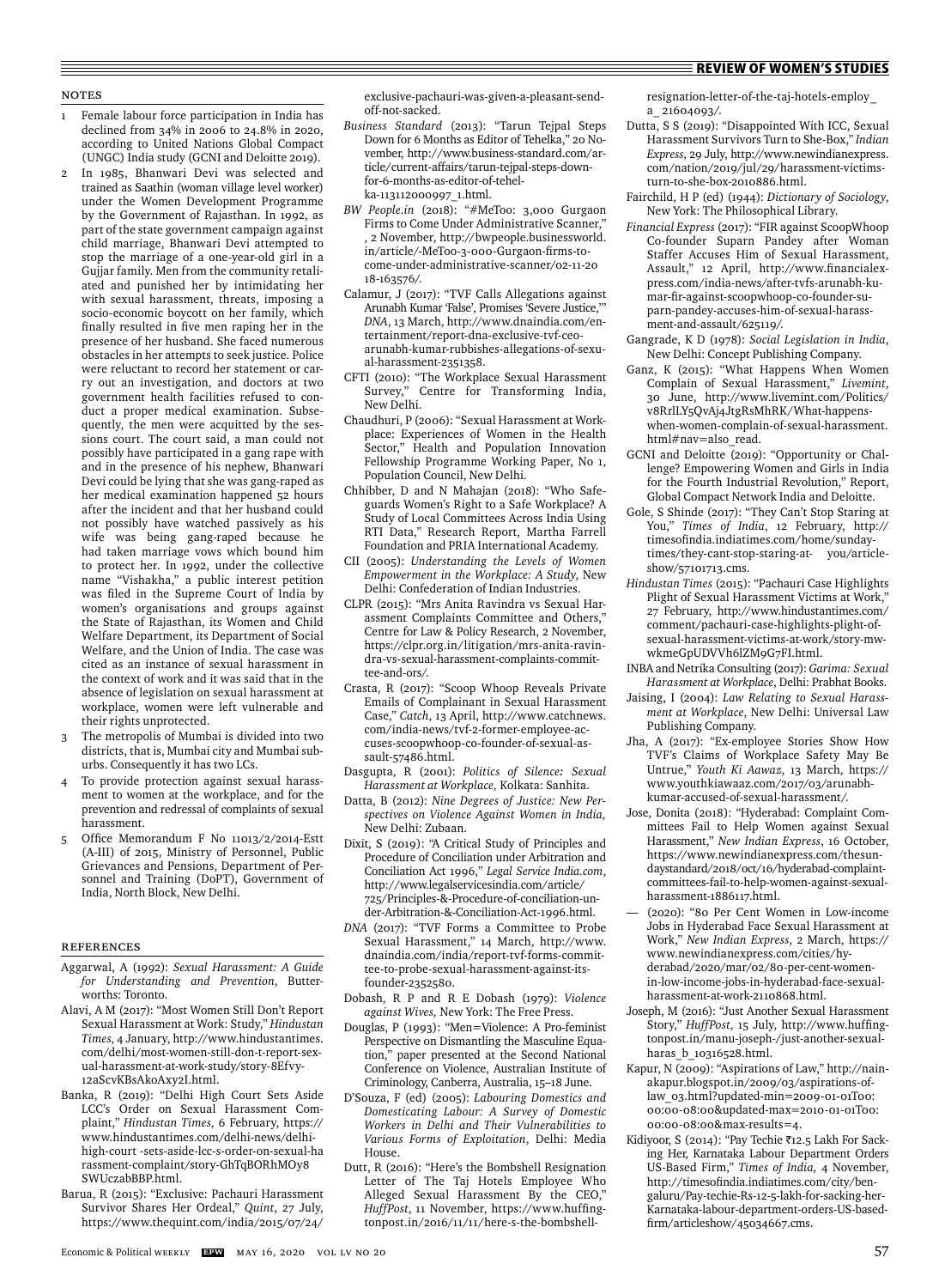# Notes

- Female labour force participation in India has declined from 34% in 2006 to 24.8% in 2020, according to United Nations Global Compact (UNGC) India study (GCNI and Deloitte 2019).
- 2 In 1985, Bhanwari Devi was selected and trained as Saathin (woman village level worker) under the Women Development Programme by the Government of Rajasthan. In 1992, as part of the state government campaign against child marriage, Bhanwari Devi attempted to stop the marriage of a one-year-old girl in a Gujjar family. Men from the community retaliated and punished her by intimidating her with sexual harassment, threats, imposing a socio-economic boycott on her family, which finally resulted in five men raping her in the presence of her husband. She faced numerous obstacles in her attempts to seek justice. Police were reluctant to record her statement or carry out an investigation, and doctors at two government health facilities refused to conduct a proper medical examination. Subsequently, the men were acquitted by the sessions court. The court said, a man could not possibly have participated in a gang rape with and in the presence of his nephew, Bhanwari Devi could be lying that she was gang-raped as her medical examination happened 52 hours after the incident and that her husband could not possibly have watched passively as his wife was being gang-raped because he had taken marriage vows which bound him to protect her. In 1992, under the collective name "Vishakha," a public interest petition was filed in the Supreme Court of India by women's organisations and groups against the State of Rajasthan, its Women and Child Welfare Department, its Department of Social Welfare, and the Union of India. The case was cited as an instance of sexual harassment in the context of work and it was said that in the absence of legislation on sexual harassment at workplace, women were left vulnerable and their rights unprotected.
- The metropolis of Mumbai is divided into two districts, that is, Mumbai city and Mumbai suburbs. Consequently it has two LCs.
- To provide protection against sexual harassment to women at the workplace, and for the prevention and redressal of complaints of sexual harassment.
- 5 Office Memorandum F No 11013/2/2014-Estt (A-III) of 2015, Ministry of Personnel, Public Grievances and Pensions, Department of Personnel and Training (DoPT), Government of India, North Block, New Delhi.

#### **REFERENCES**

- Aggarwal, A (1992): *Sexual Harassment: A Guide for Understanding and Prevention*, Butterworths: Toronto.
- Alavi, A M (2017): "Most Women Still Don't Report Sexual Harassment at Work: Study," *Hindustan Times*, 4 January, http://www.hindustantimes. com/delhi/most-women-still-don-t-report-sexual-harassment-at-work-study/story-8Efvy-12aScvKBsAkoAxy2I.html.
- Banka, R (2019): "Delhi High Court Sets Aside LCC's Order on Sexual Harassment Complaint," *Hindustan Times*, 6 February, https:// www.hindustantimes.com/delhi-news/delhihigh-court -sets-aside-lcc-s-order-on-sexual-ha rassment-complaint/story-GhTqBORhMOy8 SWUczabBBP.html.
- Barua, R (2015): "Exclusive: Pachauri Harassment Survivor Shares Her Ordeal," *Quint*, 27 July, https://www.thequint.com/india/2015/07/24/

exclusive-pachauri-was-given-a-pleasant-sendoff-not-sacked.

- *Business Standard* (2013): "Tarun Tejpal Steps Down for 6 Months as Editor of Tehelka," 20 November, http://www.business-standard.com/article/current-affairs/tarun-tejpal-steps-downfor-6-months-as-editor-of-tehelka-113112000997\_1.html.
- *BW People.in* (2018): "#MeToo: 3,000 Gurgaon Firms to Come Under Administrative Scanner, , 2 November, http://bwpeople.businessworld. in/article/-MeToo-3-000-Gurgaon-firms-tocome-under-administrative-scanner/02-11-20 18-163576/.
- Calamur, J (2017): "TVF Calls Allegations against Arunabh Kumar 'False', Promises 'Severe Justice,'" *DNA*, 13 March, http://www.dnaindia.com/entertainment/report-dna-exclusive-tvf-ceoarunabh-kumar-rubbishes-allegations-of-sexual-harassment-2351358.
- CFTI (2010): "The Workplace Sexual Harassment Survey," Centre for Transforming India, New Delhi.
- Chaudhuri, P (2006): "Sexual Harassment at Workplace: Experiences of Women in the Health Sector," Health and Population Innovation Fellowship Programme Working Paper, No 1, Population Council, New Delhi.
- Chhibber, D and N Mahajan (2018): "Who Safeguards Women's Right to a Safe Workplace? A Study of Local Committees Across India Using RTI Data," Research Report, Martha Farrell Foundation and PRIA International Academy.
- CII (2005): *Understanding the Levels of Women Empowerment in the Workplace: A Study*, New Delhi: Confederation of Indian Industries.
- CLPR (2015): "Mrs Anita Ravindra vs Sexual Harassment Complaints Committee and Others," Centre for Law & Policy Research, 2 November, https://clpr.org.in/litigation/mrs-anita-ravindra-vs-sexual-harassment-complaints-committee-and-ors/.
- Crasta, R (2017): "Scoop Whoop Reveals Private Emails of Complainant in Sexual Harassment Case," *Catch*, 13 April, http://www.catchnews. com/india-news/tvf-2-former-employee-accuses-scoopwhoop-co-founder-of-sexual-assault-57486.html.
- Dasgupta, R (2001): *Politics of Silence: Sexual Harassment at Workplace,* Kolkata: Sanhita.
- Datta, B (2012): *Nine Degrees of Justice: New Perspectives on Violence Against Women in India,*  New Delhi: Zubaan.
- Dixit, S (2019): "A Critical Study of Principles and Procedure of Conciliation under Arbitration and Conciliation Act 1996," *Legal Service India.com*, http://www.legalservicesindia.com/article/ 725/Principles-&-Procedure-of-conciliation-under-Arbitration-&-Conciliation-Act-1996.html.
- *DNA* (2017): "TVF Forms a Committee to Probe Sexual Harassment," 14 March, http://www. dnaindia.com/india/report-tvf-forms-committee-to-probe-sexual-harassment-against-itsfounder-2352580.
- Dobash, R P and R E Dobash (1979): *Violence against Wives,* New York: The Free Press.
- Douglas, P (1993): "Men=Violence: A Pro-feminist Perspective on Dismantling the Masculine Equation," paper presented at the Second National Conference on Violence, Australian Institute of Criminology, Canberra, Australia, 15–18 June.
- D'Souza, F (ed) (2005): *Labouring Domestics and Domesticating Labour: A Survey of Domestic Workers in Delhi and Their Vulnerabilities to Various Forms of Exploitation*, Delhi: Media House.
- Dutt, R (2016): "Here's the Bombshell Resignation Letter of The Taj Hotels Employee Who Alleged Sexual Harassment By the CEO," HuffPost, 11 November, https://www.huffingtonpost.in/2016/11/11/here-s-the-bombshell-

resignation-letter-of-the-taj-hotels-employ\_ a\_ 21604093/.

- Dutta, S S (2019): "Disappointed With ICC, Sexual Harassment Survivors Turn to She-Box," *Indian Express*, 29 July, http://www.newindianexpress. com/nation/2019/jul/29/harassment-victimsturn-to-she-box-2010886.html.
- Fairchild, H P (ed) (1944): *Dictionary of Sociology*, New York: The Philosophical Library.
- *Financial Express* (2017): "FIR against ScoopWhoop Co-founder Suparn Pandey after Woman Staffer Accuses Him of Sexual Harassment, Assault," 12 April, http://www.financialexpress.com/india-news/after-tvfs-arunabh-kumar-fir-against-scoopwhoop-co-founder-suparn-pandey-accuses-him-of-sexual-harassment-and-assault/625119/.
- Gangrade, K D (1978): *Social Legislation in India*, New Delhi: Concept Publishing Company.
- Ganz, K (2015): "What Happens When Women Complain of Sexual Harassment," *Livemint*, 30 June, http://www.livemint.com/Politics/ v8RrlLY5QvAj4JtgRsMhRK/What-happenswhen-women-complain-of-sexual-harassment. html#nav=also\_read.
- GCNI and Deloitte (2019): "Opportunity or Challenge? Empowering Women and Girls in India for the Fourth Industrial Revolution," Report, Global Compact Network India and Deloitte.
- Gole, S Shinde (2017): "They Can't Stop Staring at You," *Times of India*, 12 February, http:// timesofi ndia.indiatimes.com/home/sundaytimes/they-cant-stop-staring-at- you/articleshow/57101713.cms.
- *Hindustan Times* (2015): "Pachauri Case Highlights Plight of Sexual Harassment Victims at Work," 27 February, http://www.hindustantimes.com/ comment/pachauri-case-highlights-plight-ofsexual-harassment-victims-at-work/story-mwwkmeGpUDVVh6lZM9G7FI.html.
- INBA and Netrika Consulting (2017): *Garima: Sexual Harassment at Workplace*, Delhi: Prabhat Books.
- Jaising, I (2004): *Law Relating to Sexual Harassment at Workplace*, New Delhi: Universal Law Publishing Company.
- Jha, A (2017): "Ex-employee Stories Show How TVF's Claims of Workplace Safety May Be Untrue," *Youth Ki Aawaz*, 13 March, https:// www.youthkiawaaz.com/2017/03/arunabhkumar-accused-of-sexual-harassment/.
- Jose, Donita (2018): "Hyderabad: Complaint Committees Fail to Help Women against Sexual Harassment," *New Indian Express*, 16 October, https://www.newindianexpress.com/thesundaystandard/2018/oct/16/hyderabad-complaintcommittees-fail-to-help-women-against-sexualharassment-1886117.html.
- (2020): "80 Per Cent Women in Low-income Jobs in Hyderabad Face Sexual Harassment at Work," *New Indian Express*, 2 March, https:// www.newindianexpress.com/cities/hyderabad/2020/mar/02/80-per-cent-womenin-low-income-jobs-in-hyderabad-face-sexualharassment-at-work-2110868.html.
- Joseph, M (2016): "Just Another Sexual Harassment Story," *HuffPost*, 15 July, http://www.huffingtonpost.in/manu-joseph-/just-another-sexualharas **b** 10316528.html.
- Kapur, N (2009): "Aspirations of Law," http://nainakapur.blogspot.in/2009/03/aspirations-oflaw\_03.html?updated-min=2009-01-01T00: 00:00-08:00&updated-max=2010-01-01T00: 00:00-08:00&max-results=4.
- Kidiyoor, S (2014): "Pay Techie ₹12.5 Lakh For Sacking Her, Karnataka Labour Department Orders US-Based Firm," *Times of India,* 4 November, http://timesofindia.indiatimes.com/city/bengaluru/Pay-techie-Rs-12-5-lakh-for-sacking-her-Karnataka-labour-department-orders-US-basedfirm/articleshow/45034667.cms.